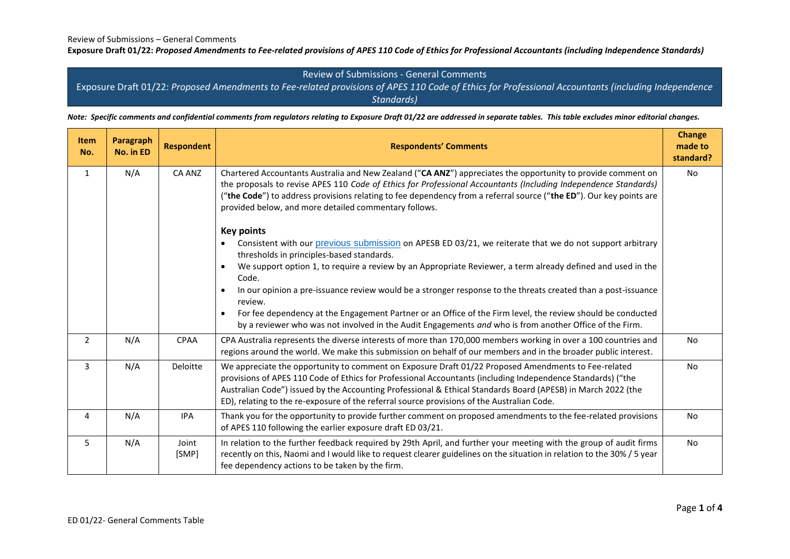$\overline{\phantom{0}}$ 

 $\mathbf{r}$ 

<u> Tanzania (</u>

#### **Exposure Draft 01/22:** *Proposed Amendments to Fee-related provisions of APES 110 Code of Ethics for Professional Accountants (including Independence Standards)*

## Review of Submissions - General Comments

Exposure Draft 01/22: *Proposed Amendments to Fee-related provisions of APES 110 Code of Ethics for Professional Accountants (including Independence Standards)*

*Note: Specific comments and confidential comments from regulators relating to Exposure Draft 01/22 are addressed in separate tables. This table excludes minor editorial changes.*

| <b>Item</b><br>No. | Paragraph<br>No. in ED | <b>Respondent</b> | <b>Respondents' Comments</b>                                                                                                                                                                                                                                                                                                                                                                                                         | <b>Change</b><br>made to<br>standard? |
|--------------------|------------------------|-------------------|--------------------------------------------------------------------------------------------------------------------------------------------------------------------------------------------------------------------------------------------------------------------------------------------------------------------------------------------------------------------------------------------------------------------------------------|---------------------------------------|
| $\mathbf{1}$       | N/A                    | CA ANZ            | Chartered Accountants Australia and New Zealand ("CA ANZ") appreciates the opportunity to provide comment on<br>the proposals to revise APES 110 Code of Ethics for Professional Accountants (Including Independence Standards)<br>("the Code") to address provisions relating to fee dependency from a referral source ("the ED"). Our key points are<br>provided below, and more detailed commentary follows.<br><b>Key points</b> | No                                    |
|                    |                        |                   | Consistent with our previous submission on APESB ED 03/21, we reiterate that we do not support arbitrary<br>$\bullet$<br>thresholds in principles-based standards.                                                                                                                                                                                                                                                                   |                                       |
|                    |                        |                   | We support option 1, to require a review by an Appropriate Reviewer, a term already defined and used in the<br>$\bullet$<br>Code.                                                                                                                                                                                                                                                                                                    |                                       |
|                    |                        |                   | In our opinion a pre-issuance review would be a stronger response to the threats created than a post-issuance<br>$\bullet$<br>review.                                                                                                                                                                                                                                                                                                |                                       |
|                    |                        |                   | For fee dependency at the Engagement Partner or an Office of the Firm level, the review should be conducted<br>$\bullet$<br>by a reviewer who was not involved in the Audit Engagements and who is from another Office of the Firm.                                                                                                                                                                                                  |                                       |
| $\overline{2}$     | N/A                    | <b>CPAA</b>       | CPA Australia represents the diverse interests of more than 170,000 members working in over a 100 countries and<br>regions around the world. We make this submission on behalf of our members and in the broader public interest.                                                                                                                                                                                                    | <b>No</b>                             |
| 3                  | N/A                    | Deloitte          | We appreciate the opportunity to comment on Exposure Draft 01/22 Proposed Amendments to Fee-related<br>provisions of APES 110 Code of Ethics for Professional Accountants (including Independence Standards) ("the<br>Australian Code") issued by the Accounting Professional & Ethical Standards Board (APESB) in March 2022 (the<br>ED), relating to the re-exposure of the referral source provisions of the Australian Code.     | <b>No</b>                             |
| 4                  | N/A                    | <b>IPA</b>        | Thank you for the opportunity to provide further comment on proposed amendments to the fee-related provisions<br>of APES 110 following the earlier exposure draft ED 03/21.                                                                                                                                                                                                                                                          | <b>No</b>                             |
| 5                  | N/A                    | Joint<br>[SMP]    | In relation to the further feedback required by 29th April, and further your meeting with the group of audit firms<br>recently on this, Naomi and I would like to request clearer guidelines on the situation in relation to the 30% / 5 year<br>fee dependency actions to be taken by the firm.                                                                                                                                     | No                                    |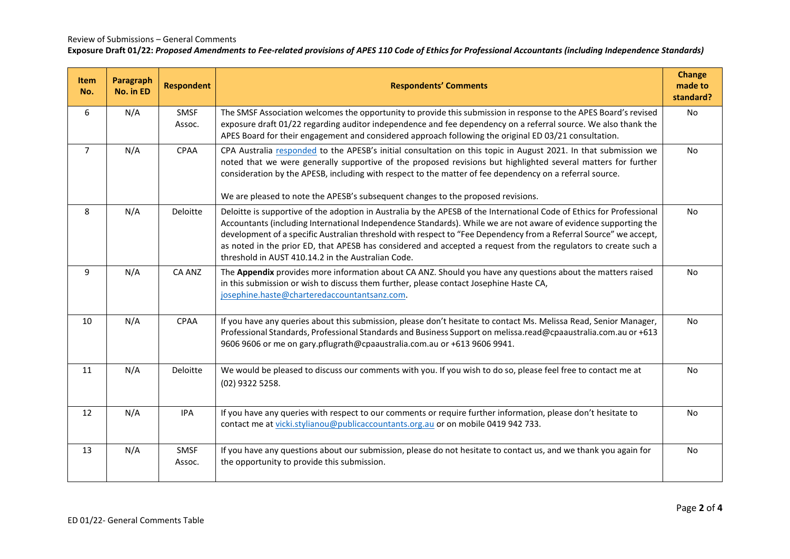#### Review of Submissions – General Comments

### **Exposure Draft 01/22:** *Proposed Amendments to Fee-related provisions of APES 110 Code of Ethics for Professional Accountants (including Independence Standards)*

| Item<br>No.    | Paragraph<br>No. in ED | <b>Respondent</b>     | <b>Respondents' Comments</b>                                                                                                                                                                                                                                                                                                                                                                                                                                                                                                           | <b>Change</b><br>made to<br>standard? |
|----------------|------------------------|-----------------------|----------------------------------------------------------------------------------------------------------------------------------------------------------------------------------------------------------------------------------------------------------------------------------------------------------------------------------------------------------------------------------------------------------------------------------------------------------------------------------------------------------------------------------------|---------------------------------------|
| 6              | N/A                    | <b>SMSF</b><br>Assoc. | The SMSF Association welcomes the opportunity to provide this submission in response to the APES Board's revised<br>exposure draft 01/22 regarding auditor independence and fee dependency on a referral source. We also thank the<br>APES Board for their engagement and considered approach following the original ED 03/21 consultation.                                                                                                                                                                                            | No.                                   |
| $\overline{7}$ | N/A                    | CPAA                  | CPA Australia responded to the APESB's initial consultation on this topic in August 2021. In that submission we<br>noted that we were generally supportive of the proposed revisions but highlighted several matters for further<br>consideration by the APESB, including with respect to the matter of fee dependency on a referral source.<br>We are pleased to note the APESB's subsequent changes to the proposed revisions.                                                                                                       | No                                    |
| 8              | N/A                    | Deloitte              | Deloitte is supportive of the adoption in Australia by the APESB of the International Code of Ethics for Professional<br>Accountants (including International Independence Standards). While we are not aware of evidence supporting the<br>development of a specific Australian threshold with respect to "Fee Dependency from a Referral Source" we accept,<br>as noted in the prior ED, that APESB has considered and accepted a request from the regulators to create such a<br>threshold in AUST 410.14.2 in the Australian Code. | <b>No</b>                             |
| 9              | N/A                    | <b>CA ANZ</b>         | The Appendix provides more information about CA ANZ. Should you have any questions about the matters raised<br>in this submission or wish to discuss them further, please contact Josephine Haste CA,<br>josephine.haste@charteredaccountantsanz.com.                                                                                                                                                                                                                                                                                  | No                                    |
| 10             | N/A                    | <b>CPAA</b>           | If you have any queries about this submission, please don't hesitate to contact Ms. Melissa Read, Senior Manager,<br>Professional Standards, Professional Standards and Business Support on melissa.read@cpaaustralia.com.au or +613<br>9606 9606 or me on gary.pflugrath@cpaaustralia.com.au or +613 9606 9941.                                                                                                                                                                                                                       | <b>No</b>                             |
| 11             | N/A                    | Deloitte              | We would be pleased to discuss our comments with you. If you wish to do so, please feel free to contact me at<br>(02) 9322 5258.                                                                                                                                                                                                                                                                                                                                                                                                       | <b>No</b>                             |
| 12             | N/A                    | <b>IPA</b>            | If you have any queries with respect to our comments or require further information, please don't hesitate to<br>contact me at vicki.stylianou@publicaccountants.org.au or on mobile 0419 942 733.                                                                                                                                                                                                                                                                                                                                     | <b>No</b>                             |
| 13             | N/A                    | SMSF<br>Assoc.        | If you have any questions about our submission, please do not hesitate to contact us, and we thank you again for<br>the opportunity to provide this submission.                                                                                                                                                                                                                                                                                                                                                                        | <b>No</b>                             |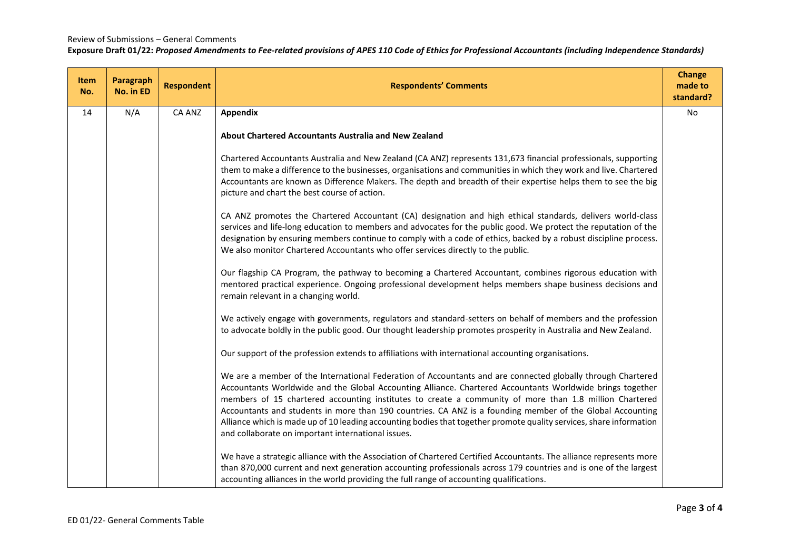### Review of Submissions – General Comments

# **Exposure Draft 01/22:** *Proposed Amendments to Fee-related provisions of APES 110 Code of Ethics for Professional Accountants (including Independence Standards)*

| <b>Item</b><br>No. | Paragraph<br>No. in ED | <b>Respondent</b> | <b>Respondents' Comments</b>                                                                                                                                                                                                                                                                                                                                                                                                                                                                                                                                                                                                 | <b>Change</b><br>made to<br>standard? |
|--------------------|------------------------|-------------------|------------------------------------------------------------------------------------------------------------------------------------------------------------------------------------------------------------------------------------------------------------------------------------------------------------------------------------------------------------------------------------------------------------------------------------------------------------------------------------------------------------------------------------------------------------------------------------------------------------------------------|---------------------------------------|
| 14                 | N/A                    | CA ANZ            | Appendix                                                                                                                                                                                                                                                                                                                                                                                                                                                                                                                                                                                                                     | <b>No</b>                             |
|                    |                        |                   | About Chartered Accountants Australia and New Zealand                                                                                                                                                                                                                                                                                                                                                                                                                                                                                                                                                                        |                                       |
|                    |                        |                   | Chartered Accountants Australia and New Zealand (CA ANZ) represents 131,673 financial professionals, supporting<br>them to make a difference to the businesses, organisations and communities in which they work and live. Chartered<br>Accountants are known as Difference Makers. The depth and breadth of their expertise helps them to see the big<br>picture and chart the best course of action.                                                                                                                                                                                                                       |                                       |
|                    |                        |                   | CA ANZ promotes the Chartered Accountant (CA) designation and high ethical standards, delivers world-class<br>services and life-long education to members and advocates for the public good. We protect the reputation of the<br>designation by ensuring members continue to comply with a code of ethics, backed by a robust discipline process.<br>We also monitor Chartered Accountants who offer services directly to the public.                                                                                                                                                                                        |                                       |
|                    |                        |                   | Our flagship CA Program, the pathway to becoming a Chartered Accountant, combines rigorous education with<br>mentored practical experience. Ongoing professional development helps members shape business decisions and<br>remain relevant in a changing world.                                                                                                                                                                                                                                                                                                                                                              |                                       |
|                    |                        |                   | We actively engage with governments, regulators and standard-setters on behalf of members and the profession<br>to advocate boldly in the public good. Our thought leadership promotes prosperity in Australia and New Zealand.                                                                                                                                                                                                                                                                                                                                                                                              |                                       |
|                    |                        |                   | Our support of the profession extends to affiliations with international accounting organisations.                                                                                                                                                                                                                                                                                                                                                                                                                                                                                                                           |                                       |
|                    |                        |                   | We are a member of the International Federation of Accountants and are connected globally through Chartered<br>Accountants Worldwide and the Global Accounting Alliance. Chartered Accountants Worldwide brings together<br>members of 15 chartered accounting institutes to create a community of more than 1.8 million Chartered<br>Accountants and students in more than 190 countries. CA ANZ is a founding member of the Global Accounting<br>Alliance which is made up of 10 leading accounting bodies that together promote quality services, share information<br>and collaborate on important international issues. |                                       |
|                    |                        |                   | We have a strategic alliance with the Association of Chartered Certified Accountants. The alliance represents more<br>than 870,000 current and next generation accounting professionals across 179 countries and is one of the largest<br>accounting alliances in the world providing the full range of accounting qualifications.                                                                                                                                                                                                                                                                                           |                                       |